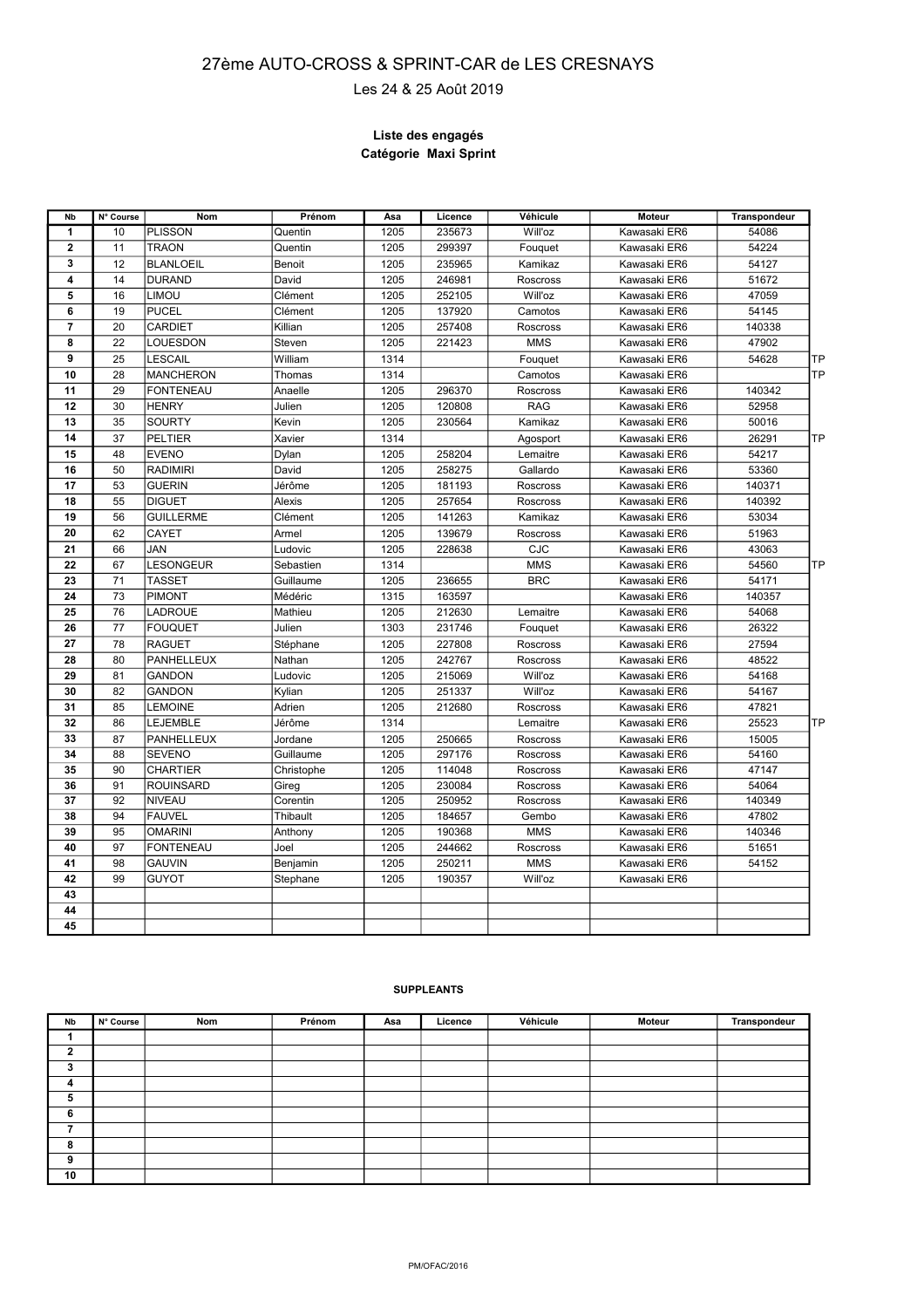## **AUTO-CROSS et SPRINT- CAR** 27ème AUTO-CROSS & SPR**IN**FT-CAR de LES CRESNAYS

Les 24 & 25 Août 2019

**Le 2016**

#### **Liste des engagés Catégorie Maxi Sprint**

| Nb                      | N° Course | <b>Nom</b>        | Prénom     | Asa  | Licence | Véhicule        | Moteur       | Transpondeur |
|-------------------------|-----------|-------------------|------------|------|---------|-----------------|--------------|--------------|
| $\mathbf{1}$            | 10        | PLISSON           | Quentin    | 1205 | 235673  | Will'oz         | Kawasaki ER6 | 54086        |
| $\overline{2}$          | 11        | <b>TRAON</b>      | Quentin    | 1205 | 299397  | Fouquet         | Kawasaki ER6 | 54224        |
| 3                       | 12        | <b>BLANLOEIL</b>  | Benoit     | 1205 | 235965  | Kamikaz         | Kawasaki ER6 | 54127        |
| 4                       | 14        | <b>DURAND</b>     | David      | 1205 | 246981  | Roscross        | Kawasaki ER6 | 51672        |
| 5                       | 16        | <b>LIMOU</b>      | Clément    | 1205 | 252105  | Will'oz         | Kawasaki ER6 | 47059        |
| 6                       | 19        | <b>PUCEL</b>      | Clément    | 1205 | 137920  | Camotos         | Kawasaki ER6 | 54145        |
| $\overline{\mathbf{r}}$ | 20        | <b>CARDIET</b>    | Killian    | 1205 | 257408  | Roscross        | Kawasaki ER6 | 140338       |
| 8                       | 22        | LOUESDON          | Steven     | 1205 | 221423  | <b>MMS</b>      | Kawasaki ER6 | 47902        |
| 9                       | 25        | <b>LESCAIL</b>    | William    | 1314 |         | Fouquet         | Kawasaki ER6 | ΠP<br>54628  |
| 10                      | 28        | <b>MANCHERON</b>  | Thomas     | 1314 |         | Camotos         | Kawasaki ER6 | lTP          |
| 11                      | 29        | <b>FONTENEAU</b>  | Anaelle    | 1205 | 296370  | Roscross        | Kawasaki ER6 | 140342       |
| 12                      | 30        | <b>HENRY</b>      | Julien     | 1205 | 120808  | <b>RAG</b>      | Kawasaki ER6 | 52958        |
| 13                      | 35        | <b>SOURTY</b>     | Kevin      | 1205 | 230564  | Kamikaz         | Kawasaki ER6 | 50016        |
| 14                      | 37        | <b>PELTIER</b>    | Xavier     | 1314 |         | Agosport        | Kawasaki ER6 | 26291<br>ΠP  |
| 15                      | 48        | <b>EVENO</b>      | Dylan      | 1205 | 258204  | Lemaitre        | Kawasaki ER6 | 54217        |
| 16                      | 50        | <b>RADIMIRI</b>   | David      | 1205 | 258275  | Gallardo        | Kawasaki ER6 | 53360        |
| 17                      | 53        | <b>GUERIN</b>     | Jérôme     | 1205 | 181193  | Roscross        | Kawasaki ER6 | 140371       |
| 18                      | 55        | <b>DIGUET</b>     | Alexis     | 1205 | 257654  | Roscross        | Kawasaki ER6 | 140392       |
| 19                      | 56        | <b>GUILLERME</b>  | Clément    | 1205 | 141263  | Kamikaz         | Kawasaki ER6 | 53034        |
| 20                      | 62        | <b>CAYET</b>      | Armel      | 1205 | 139679  | Roscross        | Kawasaki ER6 | 51963        |
| 21                      | 66        | JAN               | Ludovic    | 1205 | 228638  | <b>CJC</b>      | Kawasaki ER6 | 43063        |
| 22                      | 67        | LESONGEUR         | Sebastien  | 1314 |         | <b>MMS</b>      | Kawasaki ER6 | ΤP<br>54560  |
| 23                      | 71        | <b>TASSET</b>     | Guillaume  | 1205 | 236655  | <b>BRC</b>      | Kawasaki ER6 | 54171        |
| 24                      | 73        | <b>PIMONT</b>     | Médéric    | 1315 | 163597  |                 | Kawasaki ER6 | 140357       |
| 25                      | 76        | <b>LADROUE</b>    | Mathieu    | 1205 | 212630  | Lemaitre        | Kawasaki ER6 | 54068        |
| 26                      | 77        | <b>FOUQUET</b>    | Julien     | 1303 | 231746  | Fouquet         | Kawasaki ER6 | 26322        |
| 27                      | 78        | <b>RAGUET</b>     | Stéphane   | 1205 | 227808  | Roscross        | Kawasaki ER6 | 27594        |
| 28                      | 80        | <b>PANHELLEUX</b> | Nathan     | 1205 | 242767  | Roscross        | Kawasaki ER6 | 48522        |
| 29                      | 81        | <b>GANDON</b>     | Ludovic    | 1205 | 215069  | Will'oz         | Kawasaki ER6 | 54168        |
| 30                      | 82        | <b>GANDON</b>     | Kylian     | 1205 | 251337  | Will'oz         | Kawasaki ER6 | 54167        |
| 31                      | 85        | <b>LEMOINE</b>    | Adrien     | 1205 | 212680  | Roscross        | Kawasaki ER6 | 47821        |
| 32                      | 86        | LEJEMBLE          | Jérôme     | 1314 |         | Lemaitre        | Kawasaki ER6 | 25523<br>TP  |
| 33                      | 87        | PANHELLEUX        | Jordane    | 1205 | 250665  | Roscross        | Kawasaki ER6 | 15005        |
| 34                      | 88        | <b>SEVENO</b>     | Guillaume  | 1205 | 297176  | Roscross        | Kawasaki ER6 | 54160        |
| 35                      | 90        | CHARTIER          | Christophe | 1205 | 114048  | Roscross        | Kawasaki ER6 | 47147        |
| 36                      | 91        | <b>ROUINSARD</b>  | Gireg      | 1205 | 230084  | Roscross        | Kawasaki ER6 | 54064        |
| 37                      | 92        | NIVEAU            | Corentin   | 1205 | 250952  | <b>Roscross</b> | Kawasaki ER6 | 140349       |
| 38                      | 94        | <b>FAUVEL</b>     | Thibault   | 1205 | 184657  | Gembo           | Kawasaki ER6 | 47802        |
| 39                      | 95        | <b>OMARINI</b>    | Anthony    | 1205 | 190368  | <b>MMS</b>      | Kawasaki ER6 | 140346       |
| 40                      | 97        | <b>FONTENEAU</b>  | Joel       | 1205 | 244662  | Roscross        | Kawasaki ER6 | 51651        |
| 41                      | 98        | <b>GAUVIN</b>     | Benjamin   | 1205 | 250211  | <b>MMS</b>      | Kawasaki ER6 | 54152        |
| 42                      | 99        | <b>GUYOT</b>      | Stephane   | 1205 | 190357  | Will'oz         | Kawasaki ER6 |              |
| 43                      |           |                   |            |      |         |                 |              |              |
| 44                      |           |                   |            |      |         |                 |              |              |
| 45                      |           |                   |            |      |         |                 |              |              |

| Nb | N° Course | Nom | Prénom | Asa | Licence | Véhicule | Moteur | Transpondeur |
|----|-----------|-----|--------|-----|---------|----------|--------|--------------|
|    |           |     |        |     |         |          |        |              |
| ,  |           |     |        |     |         |          |        |              |
| 3  |           |     |        |     |         |          |        |              |
| 4  |           |     |        |     |         |          |        |              |
| 5  |           |     |        |     |         |          |        |              |
| 6  |           |     |        |     |         |          |        |              |
|    |           |     |        |     |         |          |        |              |
| 8  |           |     |        |     |         |          |        |              |
| 9  |           |     |        |     |         |          |        |              |
| 10 |           |     |        |     |         |          |        |              |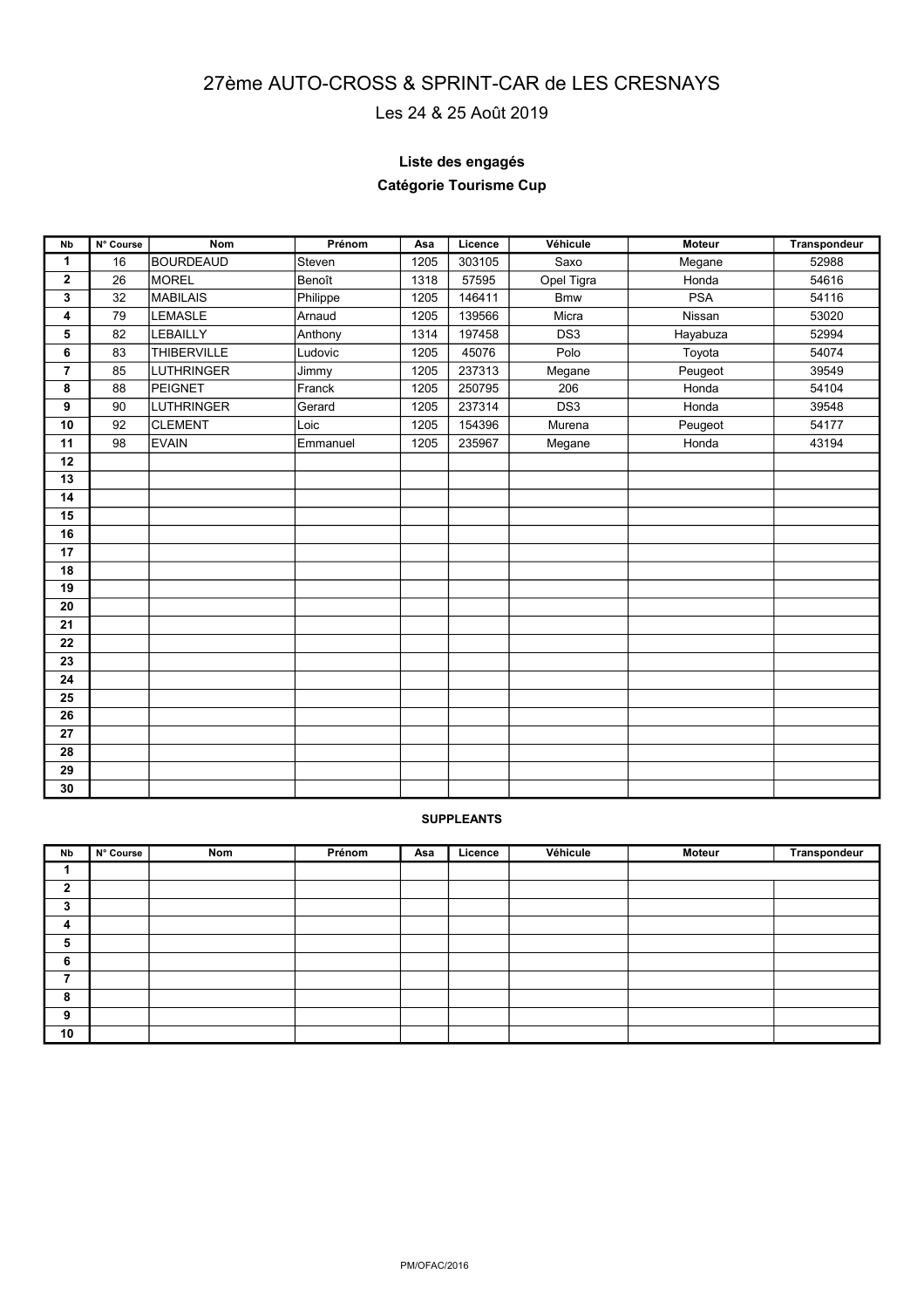## **Autocross et Sprintcar Epreuve de**  27ème AUTO-CROSS **& S#PR6N**T-CAR de LES CRESNAYS

# Les 24 & 25 Août 2019

## **Liste des engagés**

## **Catégorie Tourisme Cup**

| <b>N<sub>b</sub></b> | N° Course | <b>Nom</b>         | Prénom   | Asa  | Licence | Véhicule        | <b>Moteur</b> | <b>Transpondeur</b> |
|----------------------|-----------|--------------------|----------|------|---------|-----------------|---------------|---------------------|
| $\mathbf{1}$         | 16        | <b>BOURDEAUD</b>   | Steven   | 1205 | 303105  | Saxo            | Megane        | 52988               |
| 2                    | 26        | <b>MOREL</b>       | Benoît   | 1318 | 57595   | Opel Tigra      | Honda         | 54616               |
| 3                    | 32        | <b>MABILAIS</b>    | Philippe | 1205 | 146411  | <b>Bmw</b>      | <b>PSA</b>    | 54116               |
| 4                    | 79        | LEMASLE            | Arnaud   | 1205 | 139566  | Micra           | Nissan        | 53020               |
| 5                    | 82        | LEBAILLY           | Anthony  | 1314 | 197458  | DS <sub>3</sub> | Hayabuza      | 52994               |
| 6                    | 83        | <b>THIBERVILLE</b> | Ludovic  | 1205 | 45076   | Polo            | Toyota        | 54074               |
| $\overline{7}$       | 85        | <b>LUTHRINGER</b>  | Jimmy    | 1205 | 237313  | Megane          | Peugeot       | 39549               |
| 8                    | 88        | PEIGNET            | Franck   | 1205 | 250795  | 206             | Honda         | 54104               |
| 9                    | 90        | <b>LUTHRINGER</b>  | Gerard   | 1205 | 237314  | DS3             | Honda         | 39548               |
| 10                   | 92        | <b>CLEMENT</b>     | Loic     | 1205 | 154396  | Murena          | Peugeot       | 54177               |
| 11                   | 98        | <b>EVAIN</b>       | Emmanuel | 1205 | 235967  | Megane          | Honda         | 43194               |
| 12                   |           |                    |          |      |         |                 |               |                     |
| 13                   |           |                    |          |      |         |                 |               |                     |
| 14                   |           |                    |          |      |         |                 |               |                     |
| 15                   |           |                    |          |      |         |                 |               |                     |
| 16                   |           |                    |          |      |         |                 |               |                     |
| 17                   |           |                    |          |      |         |                 |               |                     |
| 18                   |           |                    |          |      |         |                 |               |                     |
| 19                   |           |                    |          |      |         |                 |               |                     |
| 20                   |           |                    |          |      |         |                 |               |                     |
| 21                   |           |                    |          |      |         |                 |               |                     |
| 22                   |           |                    |          |      |         |                 |               |                     |
| 23                   |           |                    |          |      |         |                 |               |                     |
| 24                   |           |                    |          |      |         |                 |               |                     |
| 25                   |           |                    |          |      |         |                 |               |                     |
| 26                   |           |                    |          |      |         |                 |               |                     |
| 27                   |           |                    |          |      |         |                 |               |                     |
| 28                   |           |                    |          |      |         |                 |               |                     |
| 29                   |           |                    |          |      |         |                 |               |                     |
| 30                   |           |                    |          |      |         |                 |               |                     |

| Nb           | N° Course | Nom | Prénom | Asa | Licence | Véhicule | Moteur | Transpondeur |
|--------------|-----------|-----|--------|-----|---------|----------|--------|--------------|
|              |           |     |        |     |         |          |        |              |
| $\mathbf{2}$ |           |     |        |     |         |          |        |              |
| 3            |           |     |        |     |         |          |        |              |
| 4            |           |     |        |     |         |          |        |              |
| 5            |           |     |        |     |         |          |        |              |
| 6            |           |     |        |     |         |          |        |              |
| 7            |           |     |        |     |         |          |        |              |
| 8            |           |     |        |     |         |          |        |              |
| 9            |           |     |        |     |         |          |        |              |
| 10           |           |     |        |     |         |          |        |              |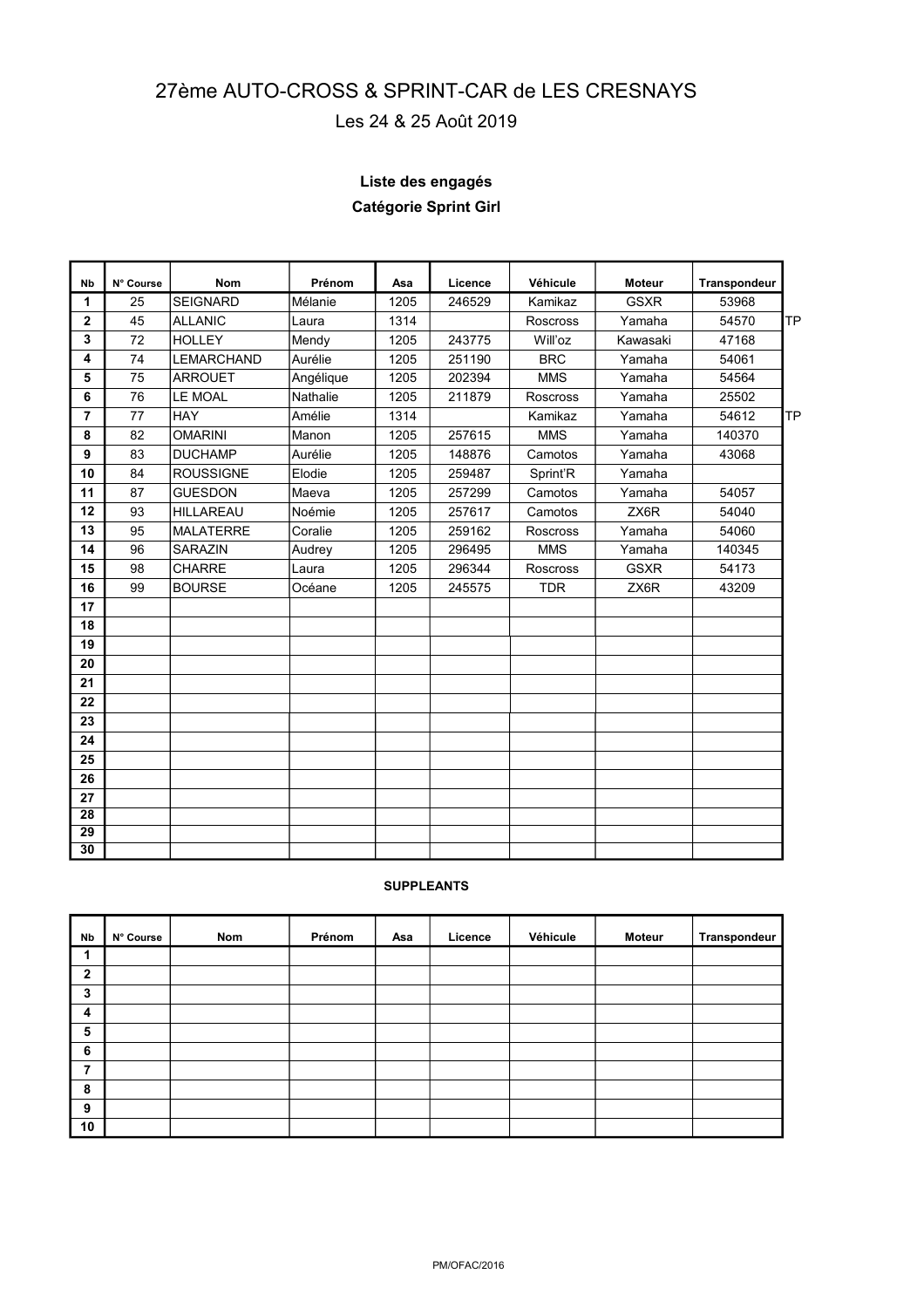# **Autocross et Sprintcar Epreuve de**  27ème AUTO-CROSS & SPRI**Nº<sup>20</sup>Aº**R de LES CRESNAYS

# Les 24 & 25 Août 2019

# **Liste des engagés**

# **Catégorie Sprint Girl**

| <b>Nb</b>    | N° Course | <b>Nom</b>        | Prénom          | Asa  | Licence | Véhicule        | <b>Moteur</b> | Transpondeur       |
|--------------|-----------|-------------------|-----------------|------|---------|-----------------|---------------|--------------------|
| 1            | 25        | <b>SEIGNARD</b>   | Mélanie         | 1205 | 246529  | Kamikaz         | <b>GSXR</b>   | 53968              |
| $\mathbf{2}$ | 45        | <b>ALLANIC</b>    | Laura           | 1314 |         | <b>Roscross</b> | Yamaha        | 54570<br><b>TP</b> |
| 3            | 72        | <b>HOLLEY</b>     | Mendy           | 1205 | 243775  | Will'oz         | Kawasaki      | 47168              |
| 4            | 74        | <b>LEMARCHAND</b> | Aurélie         | 1205 | 251190  | <b>BRC</b>      | Yamaha        | 54061              |
| 5            | 75        | <b>ARROUET</b>    | Angélique       | 1205 | 202394  | <b>MMS</b>      | Yamaha        | 54564              |
| 6            | 76        | LE MOAL           | <b>Nathalie</b> | 1205 | 211879  | <b>Roscross</b> | Yamaha        | 25502              |
| 7            | 77        | <b>HAY</b>        | Amélie          | 1314 |         | Kamikaz         | Yamaha        | 54612<br><b>TP</b> |
| 8            | 82        | <b>OMARINI</b>    | Manon           | 1205 | 257615  | <b>MMS</b>      | Yamaha        | 140370             |
| 9            | 83        | <b>DUCHAMP</b>    | Aurélie         | 1205 | 148876  | Camotos         | Yamaha        | 43068              |
| 10           | 84        | <b>ROUSSIGNE</b>  | Elodie          | 1205 | 259487  | Sprint'R        | Yamaha        |                    |
| 11           | 87        | <b>GUESDON</b>    | Maeva           | 1205 | 257299  | Camotos         | Yamaha        | 54057              |
| 12           | 93        | <b>HILLAREAU</b>  | Noémie          | 1205 | 257617  | Camotos         | ZX6R          | 54040              |
| 13           | 95        | <b>MALATERRE</b>  | Coralie         | 1205 | 259162  | <b>Roscross</b> | Yamaha        | 54060              |
| 14           | 96        | SARAZIN           | Audrey          | 1205 | 296495  | <b>MMS</b>      | Yamaha        | 140345             |
| 15           | 98        | <b>CHARRE</b>     | Laura           | 1205 | 296344  | <b>Roscross</b> | <b>GSXR</b>   | 54173              |
| 16           | 99        | <b>BOURSE</b>     | Océane          | 1205 | 245575  | <b>TDR</b>      | ZX6R          | 43209              |
| 17           |           |                   |                 |      |         |                 |               |                    |
| 18           |           |                   |                 |      |         |                 |               |                    |
| 19           |           |                   |                 |      |         |                 |               |                    |
| 20           |           |                   |                 |      |         |                 |               |                    |
| 21           |           |                   |                 |      |         |                 |               |                    |
| 22           |           |                   |                 |      |         |                 |               |                    |
| 23           |           |                   |                 |      |         |                 |               |                    |
| 24           |           |                   |                 |      |         |                 |               |                    |
| 25           |           |                   |                 |      |         |                 |               |                    |
| 26           |           |                   |                 |      |         |                 |               |                    |
| 27           |           |                   |                 |      |         |                 |               |                    |
| 28           |           |                   |                 |      |         |                 |               |                    |
| 29           |           |                   |                 |      |         |                 |               |                    |
| 30           |           |                   |                 |      |         |                 |               |                    |

| Nb           | N° Course | Nom | Prénom | Asa | Licence | Véhicule | Moteur | Transpondeur |
|--------------|-----------|-----|--------|-----|---------|----------|--------|--------------|
| 1            |           |     |        |     |         |          |        |              |
| $\mathbf{2}$ |           |     |        |     |         |          |        |              |
| 3            |           |     |        |     |         |          |        |              |
| 4            |           |     |        |     |         |          |        |              |
| 5            |           |     |        |     |         |          |        |              |
| 6            |           |     |        |     |         |          |        |              |
| 7            |           |     |        |     |         |          |        |              |
| 8            |           |     |        |     |         |          |        |              |
| 9            |           |     |        |     |         |          |        |              |
| 10           |           |     |        |     |         |          |        |              |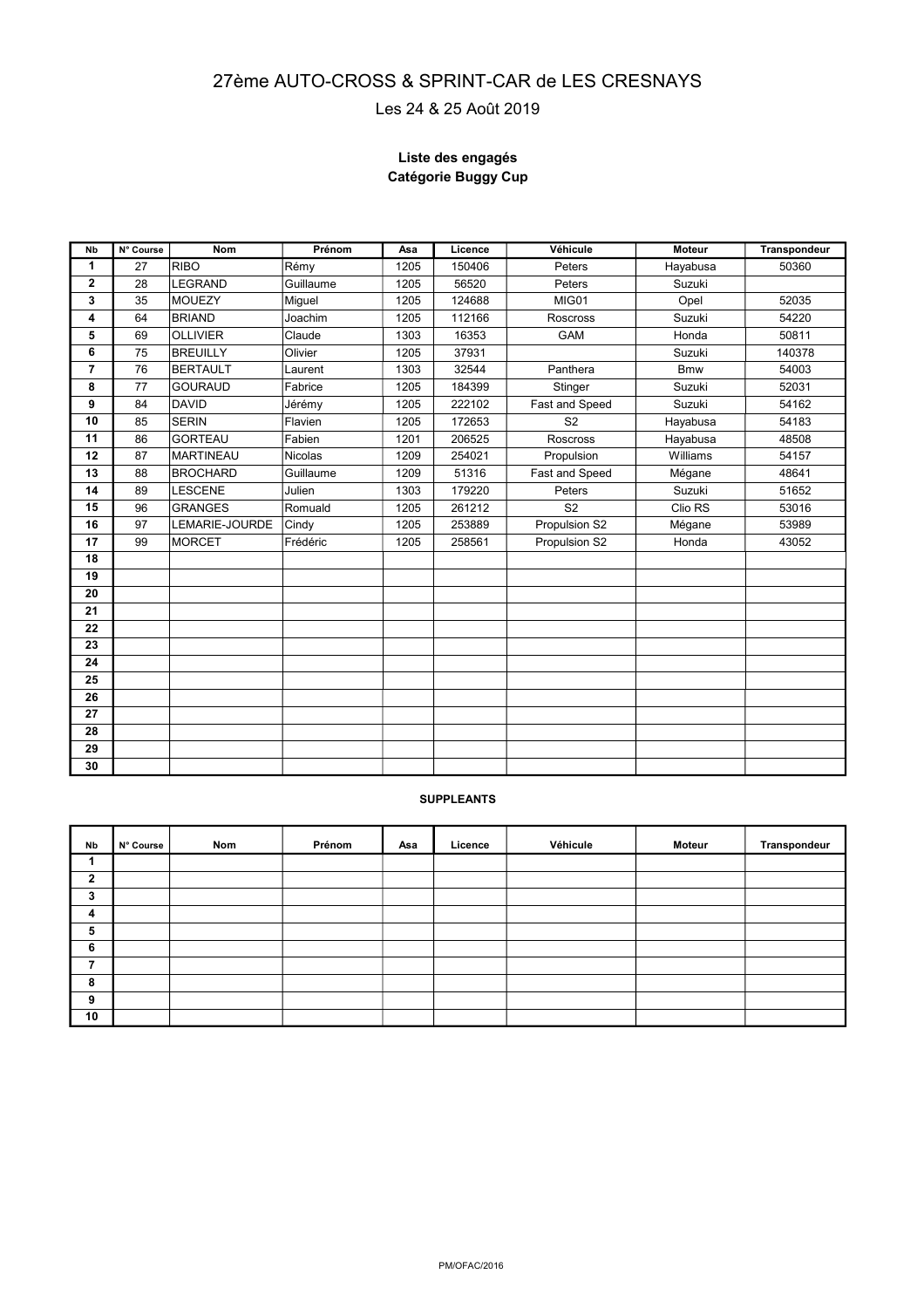#### **Autocross et Sprintcar Epreuve de**  27ème AUTO-CROSS & S**PRINT046**AR de LES CRESNAYS

## Les 24 & 25 Août 2019

### **Liste des engagés Catégorie Buggy Cup**

| <b>N<sub>b</sub></b> | N° Course | <b>Nom</b>       | Prénom         | Asa  | Licence | Véhicule        | <b>Moteur</b> | Transpondeur |
|----------------------|-----------|------------------|----------------|------|---------|-----------------|---------------|--------------|
| 1                    | 27        | <b>RIBO</b>      | Rémy           | 1205 | 150406  | Peters          | Hayabusa      | 50360        |
| $\mathbf{2}$         | 28        | <b>LEGRAND</b>   | Guillaume      | 1205 | 56520   | Peters          | Suzuki        |              |
| 3                    | 35        | <b>MOUEZY</b>    | Miguel         | 1205 | 124688  | MIG01           | Opel          | 52035        |
| 4                    | 64        | BRIAND           | Joachim        | 1205 | 112166  | <b>Roscross</b> | Suzuki        | 54220        |
| 5                    | 69        | <b>OLLIVIER</b>  | Claude         | 1303 | 16353   | GAM             | Honda         | 50811        |
| 6                    | 75        | <b>BREUILLY</b>  | Olivier        | 1205 | 37931   |                 | Suzuki        | 140378       |
| $\overline{7}$       | 76        | BERTAULT         | Laurent        | 1303 | 32544   | Panthera        | <b>Bmw</b>    | 54003        |
| 8                    | 77        | <b>GOURAUD</b>   | Fabrice        | 1205 | 184399  | Stinger         | Suzuki        | 52031        |
| 9                    | 84        | <b>DAVID</b>     | Jérémy         | 1205 | 222102  | Fast and Speed  | Suzuki        | 54162        |
| 10                   | 85        | <b>SERIN</b>     | Flavien        | 1205 | 172653  | S <sub>2</sub>  | Hayabusa      | 54183        |
| 11                   | 86        | <b>GORTEAU</b>   | Fabien         | 1201 | 206525  | <b>Roscross</b> | Hayabusa      | 48508        |
| 12                   | 87        | <b>MARTINEAU</b> | <b>Nicolas</b> | 1209 | 254021  | Propulsion      | Williams      | 54157        |
| 13                   | 88        | <b>BROCHARD</b>  | Guillaume      | 1209 | 51316   | Fast and Speed  | Mégane        | 48641        |
| 14                   | 89        | <b>LESCENE</b>   | Julien         | 1303 | 179220  | Peters          | Suzuki        | 51652        |
| 15                   | 96        | <b>GRANGES</b>   | Romuald        | 1205 | 261212  | S <sub>2</sub>  | Clio RS       | 53016        |
| 16                   | 97        | LEMARIE-JOURDE   | Cindy          | 1205 | 253889  | Propulsion S2   | Mégane        | 53989        |
| 17                   | 99        | <b>MORCET</b>    | Frédéric       | 1205 | 258561  | Propulsion S2   | Honda         | 43052        |
| 18                   |           |                  |                |      |         |                 |               |              |
| 19                   |           |                  |                |      |         |                 |               |              |
| 20                   |           |                  |                |      |         |                 |               |              |
| 21                   |           |                  |                |      |         |                 |               |              |
| 22                   |           |                  |                |      |         |                 |               |              |
| 23                   |           |                  |                |      |         |                 |               |              |
| 24                   |           |                  |                |      |         |                 |               |              |
| 25                   |           |                  |                |      |         |                 |               |              |
| 26                   |           |                  |                |      |         |                 |               |              |
| 27                   |           |                  |                |      |         |                 |               |              |
| 28                   |           |                  |                |      |         |                 |               |              |
| 29                   |           |                  |                |      |         |                 |               |              |
| 30                   |           |                  |                |      |         |                 |               |              |

| Nb           | N° Course | Nom | Prénom | Asa | Licence | Véhicule | Moteur | Transpondeur |
|--------------|-----------|-----|--------|-----|---------|----------|--------|--------------|
|              |           |     |        |     |         |          |        |              |
| $\mathbf{2}$ |           |     |        |     |         |          |        |              |
| 3            |           |     |        |     |         |          |        |              |
| 4            |           |     |        |     |         |          |        |              |
| 5            |           |     |        |     |         |          |        |              |
| 6            |           |     |        |     |         |          |        |              |
| 7            |           |     |        |     |         |          |        |              |
| 8            |           |     |        |     |         |          |        |              |
| 9            |           |     |        |     |         |          |        |              |
| 10           |           |     |        |     |         |          |        |              |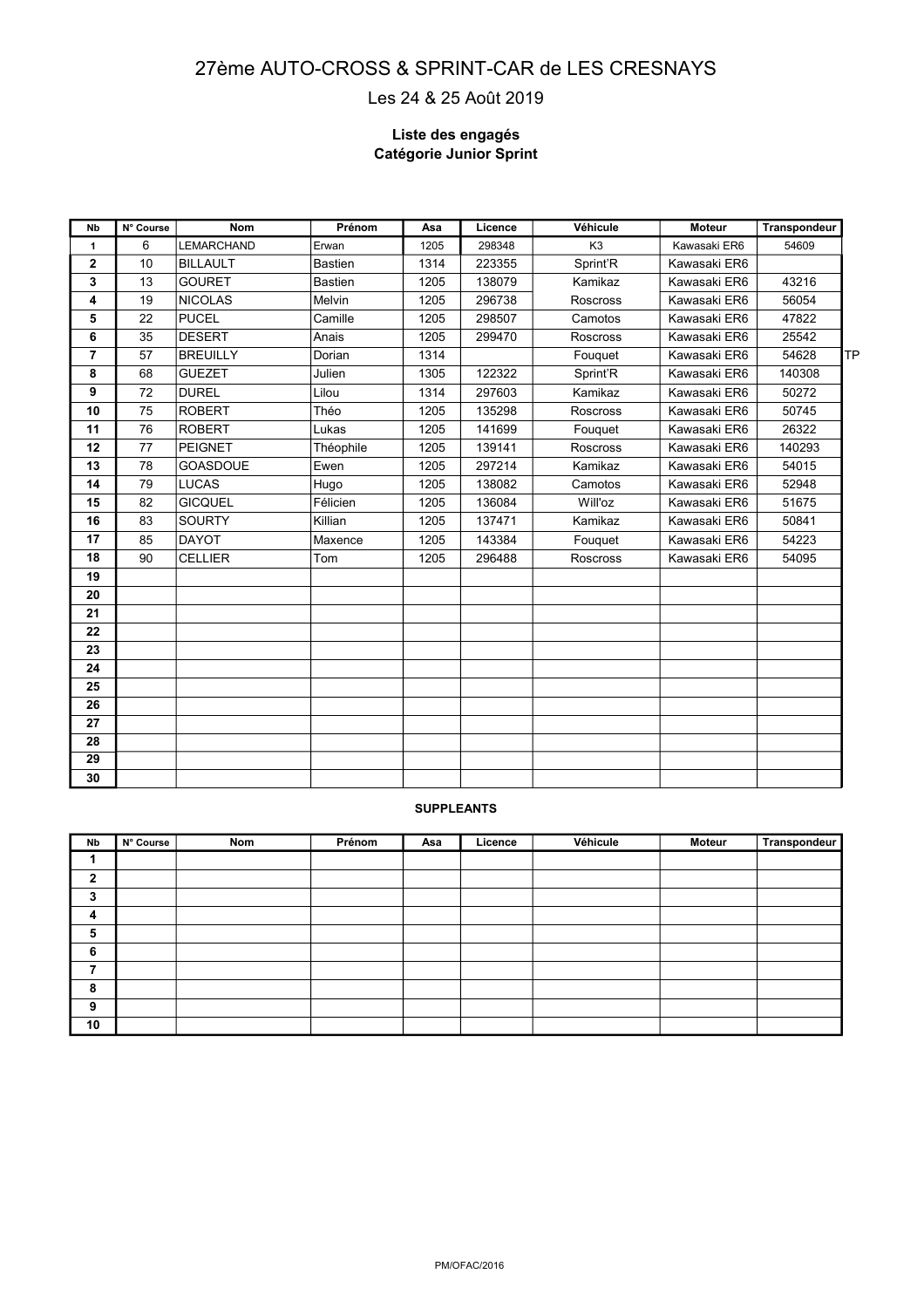#### **Autocross et Sprintcar Eprenve de Le 2016** 27ème AUTO-CROSS & SFPPRINYP-COAR de LES CRESNAYS Les 24 & 25 Août 2019

### **Liste des engagés Catégorie Junior Sprint**

| <b>Nb</b>      | N° Course | <b>Nom</b>        | Prénom         | Asa  | Licence | Véhicule        | <b>Moteur</b> | <b>Transpondeur</b> |           |
|----------------|-----------|-------------------|----------------|------|---------|-----------------|---------------|---------------------|-----------|
| 1              | 6         | <b>LEMARCHAND</b> | Erwan          | 1205 | 298348  | K <sub>3</sub>  | Kawasaki ER6  | 54609               |           |
| $\mathbf{2}$   | 10        | <b>BILLAULT</b>   | <b>Bastien</b> | 1314 | 223355  | Sprint'R        | Kawasaki ER6  |                     |           |
| 3              | 13        | <b>GOURET</b>     | <b>Bastien</b> | 1205 | 138079  | Kamikaz         | Kawasaki ER6  | 43216               |           |
| 4              | 19        | <b>NICOLAS</b>    | Melvin         | 1205 | 296738  | Roscross        | Kawasaki ER6  | 56054               |           |
| 5              | 22        | <b>PUCEL</b>      | Camille        | 1205 | 298507  | Camotos         | Kawasaki ER6  | 47822               |           |
| 6              | 35        | <b>DESERT</b>     | Anais          | 1205 | 299470  | <b>Roscross</b> | Kawasaki ER6  | 25542               |           |
| $\overline{7}$ | 57        | <b>BREUILLY</b>   | Dorian         | 1314 |         | Fouguet         | Kawasaki ER6  | 54628               | <b>TP</b> |
| 8              | 68        | <b>GUEZET</b>     | Julien         | 1305 | 122322  | Sprint'R        | Kawasaki ER6  | 140308              |           |
| 9              | 72        | <b>DUREL</b>      | Lilou          | 1314 | 297603  | Kamikaz         | Kawasaki ER6  | 50272               |           |
| 10             | 75        | <b>ROBERT</b>     | Théo           | 1205 | 135298  | <b>Roscross</b> | Kawasaki ER6  | 50745               |           |
| 11             | 76        | <b>ROBERT</b>     | Lukas          | 1205 | 141699  | Fouguet         | Kawasaki ER6  | 26322               |           |
| 12             | 77        | <b>PEIGNET</b>    | Théophile      | 1205 | 139141  | Roscross        | Kawasaki ER6  | 140293              |           |
| 13             | 78        | <b>GOASDOUE</b>   | Ewen           | 1205 | 297214  | Kamikaz         | Kawasaki ER6  | 54015               |           |
| 14             | 79        | <b>LUCAS</b>      | Hugo           | 1205 | 138082  | Camotos         | Kawasaki ER6  | 52948               |           |
| 15             | 82        | <b>GICQUEL</b>    | Félicien       | 1205 | 136084  | Will'oz         | Kawasaki ER6  | 51675               |           |
| 16             | 83        | <b>SOURTY</b>     | Killian        | 1205 | 137471  | Kamikaz         | Kawasaki ER6  | 50841               |           |
| 17             | 85        | <b>DAYOT</b>      | Maxence        | 1205 | 143384  | Fouquet         | Kawasaki ER6  | 54223               |           |
| 18             | 90        | <b>CELLIER</b>    | Tom            | 1205 | 296488  | Roscross        | Kawasaki ER6  | 54095               |           |
| 19             |           |                   |                |      |         |                 |               |                     |           |
| 20             |           |                   |                |      |         |                 |               |                     |           |
| 21             |           |                   |                |      |         |                 |               |                     |           |
| 22             |           |                   |                |      |         |                 |               |                     |           |
| 23             |           |                   |                |      |         |                 |               |                     |           |
| 24             |           |                   |                |      |         |                 |               |                     |           |
| 25             |           |                   |                |      |         |                 |               |                     |           |
| 26             |           |                   |                |      |         |                 |               |                     |           |
| 27             |           |                   |                |      |         |                 |               |                     |           |
| 28             |           |                   |                |      |         |                 |               |                     |           |
| 29             |           |                   |                |      |         |                 |               |                     |           |
| 30             |           |                   |                |      |         |                 |               |                     |           |

| Nb                      | N° Course | Nom | Prénom | Asa | Licence | Véhicule | Moteur | Transpondeur |
|-------------------------|-----------|-----|--------|-----|---------|----------|--------|--------------|
| и                       |           |     |        |     |         |          |        |              |
| $\mathbf{2}$            |           |     |        |     |         |          |        |              |
| 3                       |           |     |        |     |         |          |        |              |
| $\overline{\mathbf{4}}$ |           |     |        |     |         |          |        |              |
| 5                       |           |     |        |     |         |          |        |              |
| 6                       |           |     |        |     |         |          |        |              |
| 7                       |           |     |        |     |         |          |        |              |
| 8                       |           |     |        |     |         |          |        |              |
| 9                       |           |     |        |     |         |          |        |              |
| 10                      |           |     |        |     |         |          |        |              |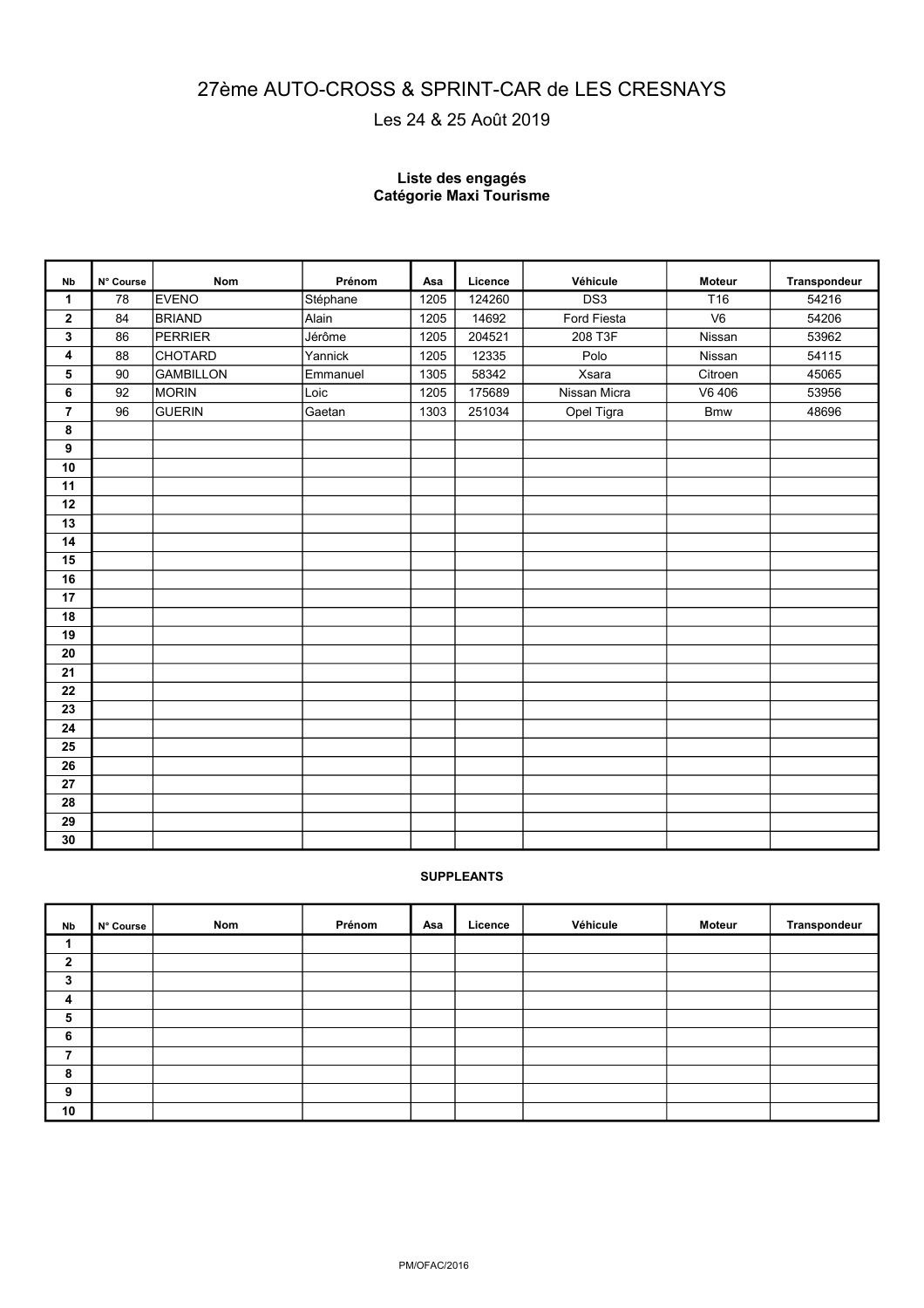# **Autocross et Sprintcar Epreuve de**  27ème AUTO-CROSS <sup>I</sup> & S<sup>20</sup>RÍNT-CAR de LES CRESNAYS

# Les 24 & 25 Août 2019

#### **Liste des engagés Catégorie Maxi Tourisme**

| <b>Nb</b>      | N° Course | Nom              | Prénom   | Asa  | Licence | Véhicule        | <b>Moteur</b>   | Transpondeur |
|----------------|-----------|------------------|----------|------|---------|-----------------|-----------------|--------------|
| $\mathbf 1$    | 78        | <b>EVENO</b>     | Stéphane | 1205 | 124260  | DS <sub>3</sub> | T <sub>16</sub> | 54216        |
| $\mathbf{2}$   | 84        | <b>BRIAND</b>    | Alain    | 1205 | 14692   | Ford Fiesta     | V <sub>6</sub>  | 54206        |
| $\mathbf{3}$   | 86        | <b>PERRIER</b>   | Jérôme   | 1205 | 204521  | 208 T3F         | Nissan          | 53962        |
| $\pmb{4}$      | 88        | <b>CHOTARD</b>   | Yannick  | 1205 | 12335   | Polo            | Nissan          | 54115        |
| ${\bf 5}$      | 90        | <b>GAMBILLON</b> | Emmanuel | 1305 | 58342   | Xsara           | Citroen         | 45065        |
| 6              | 92        | MORIN            | Loic     | 1205 | 175689  | Nissan Micra    | V6 406          | 53956        |
| $\overline{7}$ | 96        | <b>GUERIN</b>    | Gaetan   | 1303 | 251034  | Opel Tigra      | <b>Bmw</b>      | 48696        |
| 8              |           |                  |          |      |         |                 |                 |              |
| 9              |           |                  |          |      |         |                 |                 |              |
| 10             |           |                  |          |      |         |                 |                 |              |
| 11             |           |                  |          |      |         |                 |                 |              |
| 12             |           |                  |          |      |         |                 |                 |              |
| 13             |           |                  |          |      |         |                 |                 |              |
| 14             |           |                  |          |      |         |                 |                 |              |
| 15             |           |                  |          |      |         |                 |                 |              |
| 16             |           |                  |          |      |         |                 |                 |              |
| 17             |           |                  |          |      |         |                 |                 |              |
| 18             |           |                  |          |      |         |                 |                 |              |
| 19             |           |                  |          |      |         |                 |                 |              |
| 20             |           |                  |          |      |         |                 |                 |              |
| 21             |           |                  |          |      |         |                 |                 |              |
| 22             |           |                  |          |      |         |                 |                 |              |
| 23             |           |                  |          |      |         |                 |                 |              |
| 24             |           |                  |          |      |         |                 |                 |              |
| 25             |           |                  |          |      |         |                 |                 |              |
| 26             |           |                  |          |      |         |                 |                 |              |
| 27             |           |                  |          |      |         |                 |                 |              |
| 28             |           |                  |          |      |         |                 |                 |              |
| 29             |           |                  |          |      |         |                 |                 |              |
| 30             |           |                  |          |      |         |                 |                 |              |

| Nb           | N° Course | Nom | Prénom | Asa | Licence | Véhicule | Moteur | Transpondeur |
|--------------|-----------|-----|--------|-----|---------|----------|--------|--------------|
| 4            |           |     |        |     |         |          |        |              |
| $\mathbf{2}$ |           |     |        |     |         |          |        |              |
| 3            |           |     |        |     |         |          |        |              |
| 4            |           |     |        |     |         |          |        |              |
| 5            |           |     |        |     |         |          |        |              |
| 6            |           |     |        |     |         |          |        |              |
| 7            |           |     |        |     |         |          |        |              |
| 8            |           |     |        |     |         |          |        |              |
| 9            |           |     |        |     |         |          |        |              |
| 10           |           |     |        |     |         |          |        |              |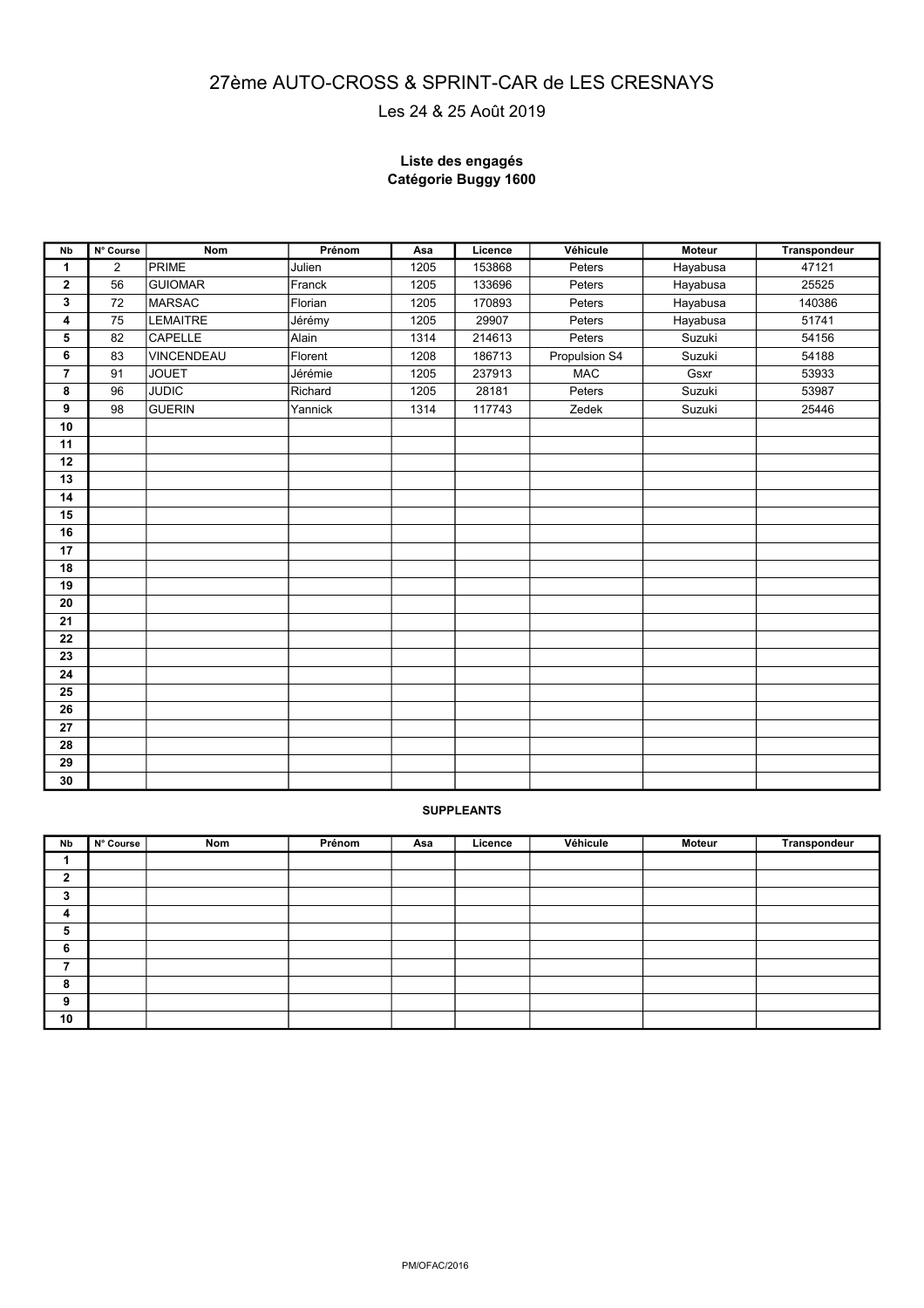## **Autocross et Sprintcar Epreuve de Le 2016** 27ème AUTO-CROSS & SPRINT-CAR de LES CRESNAYS

Les 24 & 25 Août 2019

#### **Liste des engagés Catégorie Buggy 1600**

| Nb             | N° Course | <b>Nom</b>      | Prénom  | Asa  | Licence | Véhicule      | <b>Moteur</b> | Transpondeur |
|----------------|-----------|-----------------|---------|------|---------|---------------|---------------|--------------|
| 1              | 2         | PRIME           | Julien  | 1205 | 153868  | Peters        | Hayabusa      | 47121        |
| $\mathbf 2$    | 56        | <b>GUIOMAR</b>  | Franck  | 1205 | 133696  | Peters        | Hayabusa      | 25525        |
| 3              | 72        | <b>MARSAC</b>   | Florian | 1205 | 170893  | Peters        | Hayabusa      | 140386       |
| 4              | 75        | <b>LEMAITRE</b> | Jérémy  | 1205 | 29907   | Peters        | Hayabusa      | 51741        |
| 5              | 82        | CAPELLE         | Alain   | 1314 | 214613  | Peters        | Suzuki        | 54156        |
| 6              | 83        | VINCENDEAU      | Florent | 1208 | 186713  | Propulsion S4 | Suzuki        | 54188        |
| $\overline{7}$ | 91        | <b>JOUET</b>    | Jérémie | 1205 | 237913  | <b>MAC</b>    | Gsxr          | 53933        |
| 8              | 96        | <b>JUDIC</b>    | Richard | 1205 | 28181   | Peters        | Suzuki        | 53987        |
| 9              | 98        | <b>GUERIN</b>   | Yannick | 1314 | 117743  | Zedek         | Suzuki        | 25446        |
| 10             |           |                 |         |      |         |               |               |              |
| 11             |           |                 |         |      |         |               |               |              |
| 12             |           |                 |         |      |         |               |               |              |
| 13             |           |                 |         |      |         |               |               |              |
| 14             |           |                 |         |      |         |               |               |              |
| 15             |           |                 |         |      |         |               |               |              |
| 16             |           |                 |         |      |         |               |               |              |
| 17             |           |                 |         |      |         |               |               |              |
| 18             |           |                 |         |      |         |               |               |              |
| 19             |           |                 |         |      |         |               |               |              |
| 20             |           |                 |         |      |         |               |               |              |
| 21             |           |                 |         |      |         |               |               |              |
| 22             |           |                 |         |      |         |               |               |              |
| 23             |           |                 |         |      |         |               |               |              |
| 24             |           |                 |         |      |         |               |               |              |
| 25             |           |                 |         |      |         |               |               |              |
| 26             |           |                 |         |      |         |               |               |              |
| 27             |           |                 |         |      |         |               |               |              |
| 28             |           |                 |         |      |         |               |               |              |
| 29             |           |                 |         |      |         |               |               |              |
| 30             |           |                 |         |      |         |               |               |              |

| Nb          | N° Course | Nom | Prénom | Asa | Licence | Véhicule | Moteur | Transpondeur |
|-------------|-----------|-----|--------|-----|---------|----------|--------|--------------|
|             |           |     |        |     |         |          |        |              |
| $\mathbf 2$ |           |     |        |     |         |          |        |              |
| 3           |           |     |        |     |         |          |        |              |
| 4           |           |     |        |     |         |          |        |              |
| 5           |           |     |        |     |         |          |        |              |
| 6           |           |     |        |     |         |          |        |              |
| 7           |           |     |        |     |         |          |        |              |
| 8           |           |     |        |     |         |          |        |              |
| 9           |           |     |        |     |         |          |        |              |
| 10          |           |     |        |     |         |          |        |              |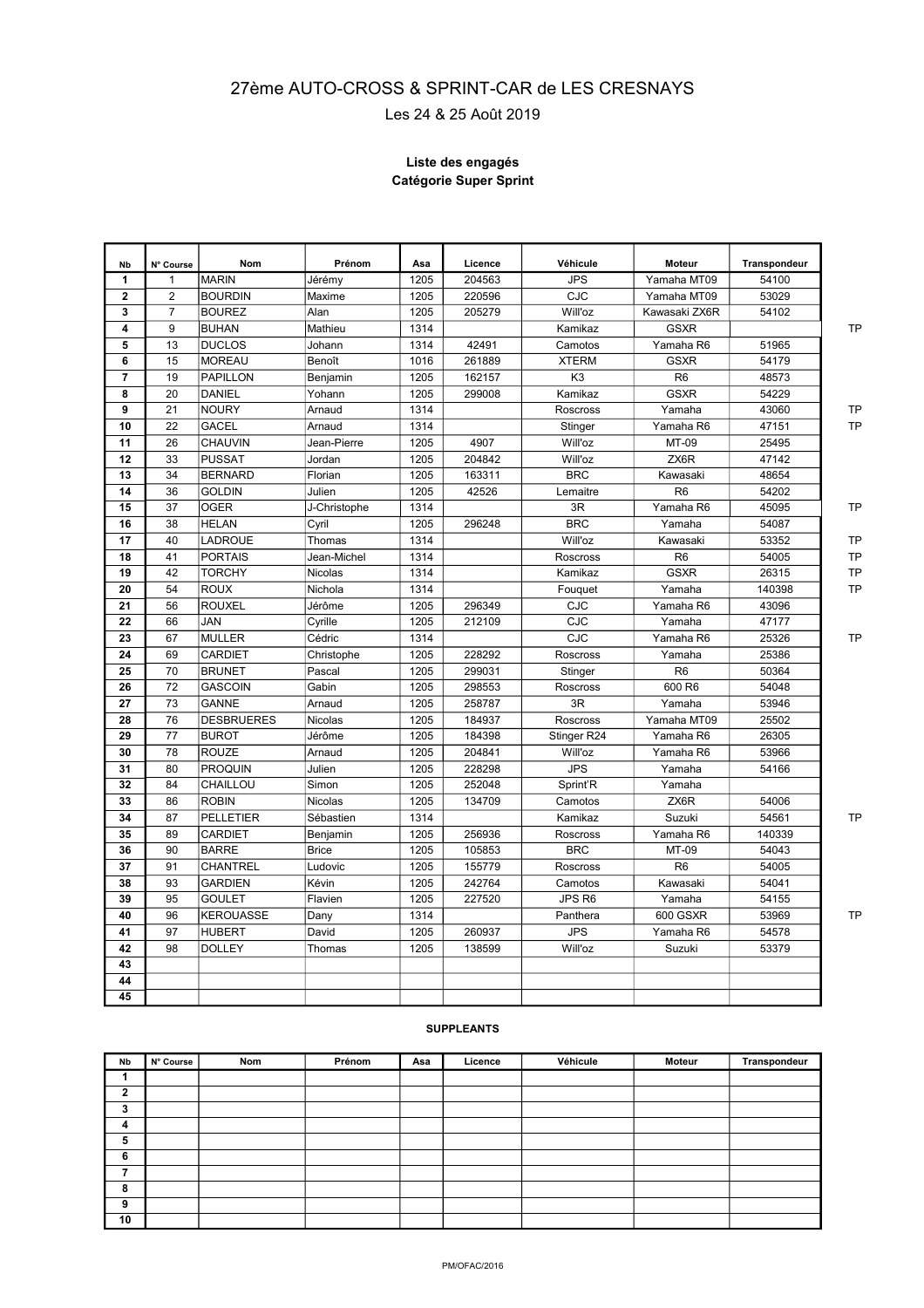# **Autocross et Sprintcar Epreuve de Le 2016** 27ème AUTO-CROSS & SPRINT-CAR de LES CRESNAYS

Les 24 & 25 Août 2019

#### **Liste des engagés Catégorie Super Sprint**

| Nb             | N° Course      | <b>Nom</b>        | Prénom       | Asa  | Licence | Véhicule       | <b>Moteur</b>  | Transpondeur |           |
|----------------|----------------|-------------------|--------------|------|---------|----------------|----------------|--------------|-----------|
| 1              | $\mathbf{1}$   | <b>MARIN</b>      | Jérémy       | 1205 | 204563  | <b>JPS</b>     | Yamaha MT09    | 54100        |           |
| $\overline{2}$ | $\overline{2}$ | <b>BOURDIN</b>    | Maxime       | 1205 | 220596  | <b>CJC</b>     | Yamaha MT09    | 53029        |           |
| 3              | $\overline{7}$ | <b>BOUREZ</b>     | Alan         | 1205 | 205279  | Will'oz        | Kawasaki ZX6R  | 54102        |           |
| 4              | 9              | <b>BUHAN</b>      | Mathieu      | 1314 |         | Kamikaz        | <b>GSXR</b>    |              | <b>TP</b> |
| 5              | 13             | <b>DUCLOS</b>     | Johann       | 1314 | 42491   | Camotos        | Yamaha R6      | 51965        |           |
| 6              | 15             | <b>MOREAU</b>     | Benoît       | 1016 | 261889  | <b>XTERM</b>   | <b>GSXR</b>    | 54179        |           |
| $\overline{7}$ | 19             | <b>PAPILLON</b>   | Benjamin     | 1205 | 162157  | K <sub>3</sub> | R <sub>6</sub> | 48573        |           |
| 8              | 20             | <b>DANIEL</b>     | Yohann       | 1205 | 299008  | Kamikaz        | <b>GSXR</b>    | 54229        |           |
| 9              | 21             | <b>NOURY</b>      | Arnaud       | 1314 |         | Roscross       | Yamaha         | 43060        | <b>TP</b> |
| 10             | 22             | GACEL             | Arnaud       | 1314 |         | Stinger        | Yamaha R6      | 47151        | <b>TP</b> |
| 11             | 26             | CHAUVIN           | Jean-Pierre  | 1205 | 4907    | Will'oz        | MT-09          | 25495        |           |
| 12             | 33             | <b>PUSSAT</b>     | Jordan       | 1205 | 204842  | Will'oz        | ZX6R           | 47142        |           |
| 13             | 34             | <b>BERNARD</b>    | Florian      | 1205 | 163311  | <b>BRC</b>     | Kawasaki       | 48654        |           |
| 14             | 36             | <b>GOLDIN</b>     | Julien       | 1205 | 42526   | Lemaitre       | R <sub>6</sub> | 54202        |           |
| 15             | 37             | <b>OGER</b>       | J-Christophe | 1314 |         | 3R             | Yamaha R6      | 45095        | <b>TP</b> |
| 16             | 38             | <b>HELAN</b>      | Cyril        | 1205 | 296248  | <b>BRC</b>     | Yamaha         | 54087        |           |
| 17             | 40             | LADROUE           | Thomas       | 1314 |         | Will'oz        | Kawasaki       | 53352        | <b>TP</b> |
| 18             | 41             | <b>PORTAIS</b>    | Jean-Michel  | 1314 |         | Roscross       | R <sub>6</sub> | 54005        | <b>TP</b> |
| 19             | 42             | <b>TORCHY</b>     | Nicolas      | 1314 |         | Kamikaz        | <b>GSXR</b>    | 26315        | <b>TP</b> |
| 20             | 54             | <b>ROUX</b>       | Nichola      | 1314 |         | Fouguet        | Yamaha         | 140398       | <b>TP</b> |
| 21             | 56             | <b>ROUXEL</b>     | Jérôme       | 1205 | 296349  | CJC            | Yamaha R6      | 43096        |           |
| 22             | 66             | JAN               | Cyrille      | 1205 | 212109  | <b>CJC</b>     | Yamaha         | 47177        |           |
| 23             | 67             | <b>MULLER</b>     | Cédric       | 1314 |         | CJC            | Yamaha R6      | 25326        | <b>TP</b> |
| 24             | 69             | CARDIET           | Christophe   | 1205 | 228292  | Roscross       | Yamaha         | 25386        |           |
| 25             | 70             | <b>BRUNET</b>     | Pascal       | 1205 | 299031  | Stinger        | R <sub>6</sub> | 50364        |           |
| 26             | 72             | <b>GASCOIN</b>    | Gabin        | 1205 | 298553  | Roscross       | 600 R6         | 54048        |           |
| 27             | 73             | <b>GANNE</b>      | Arnaud       | 1205 | 258787  | 3R             | Yamaha         | 53946        |           |
| 28             | 76             | <b>DESBRUERES</b> | Nicolas      | 1205 | 184937  | Roscross       | Yamaha MT09    | 25502        |           |
| 29             | 77             | <b>BUROT</b>      | Jérôme       | 1205 | 184398  | Stinger R24    | Yamaha R6      | 26305        |           |
| 30             | 78             | <b>ROUZE</b>      | Arnaud       | 1205 | 204841  | Will'oz        | Yamaha R6      | 53966        |           |
| 31             | 80             | <b>PROQUIN</b>    | Julien       | 1205 | 228298  | <b>JPS</b>     | Yamaha         | 54166        |           |
| 32             | 84             | CHAILLOU          | Simon        | 1205 | 252048  | Sprint'R       | Yamaha         |              |           |
| 33             | 86             | <b>ROBIN</b>      | Nicolas      | 1205 | 134709  | Camotos        | ZX6R           | 54006        |           |
| 34             | 87             | <b>PELLETIER</b>  | Sébastien    | 1314 |         | Kamikaz        | Suzuki         | 54561        | <b>TP</b> |
| 35             | 89             | CARDIET           | Benjamin     | 1205 | 256936  | Roscross       | Yamaha R6      | 140339       |           |
| 36             | 90             | <b>BARRE</b>      | <b>Brice</b> | 1205 | 105853  | <b>BRC</b>     | MT-09          | 54043        |           |
| 37             | 91             | CHANTREL          | Ludovic      | 1205 | 155779  | Roscross       | R <sub>6</sub> | 54005        |           |
| 38             | 93             | <b>GARDIEN</b>    | Kévin        | 1205 | 242764  | Camotos        | Kawasaki       | 54041        |           |
| 39             | 95             | <b>GOULET</b>     | Flavien      | 1205 | 227520  | JPS R6         | Yamaha         | 54155        |           |
| 40             | 96             | <b>KEROUASSE</b>  | Dany         | 1314 |         | Panthera       | 600 GSXR       | 53969        | <b>TP</b> |
| 41             | 97             | <b>HUBERT</b>     | David        | 1205 | 260937  | <b>JPS</b>     | Yamaha R6      | 54578        |           |
| 42             | 98             | <b>DOLLEY</b>     | Thomas       | 1205 | 138599  | Will'oz        | Suzuki         | 53379        |           |
| 43             |                |                   |              |      |         |                |                |              |           |
| 44             |                |                   |              |      |         |                |                |              |           |
| 45             |                |                   |              |      |         |                |                |              |           |

| Nb           | N° Course | Nom | Prénom | Asa | Licence | Véhicule | Moteur | Transpondeur |
|--------------|-----------|-----|--------|-----|---------|----------|--------|--------------|
|              |           |     |        |     |         |          |        |              |
| $\mathbf{2}$ |           |     |        |     |         |          |        |              |
| 3            |           |     |        |     |         |          |        |              |
| 4            |           |     |        |     |         |          |        |              |
| 5            |           |     |        |     |         |          |        |              |
| 6            |           |     |        |     |         |          |        |              |
| ⇁            |           |     |        |     |         |          |        |              |
| 8            |           |     |        |     |         |          |        |              |
| 9            |           |     |        |     |         |          |        |              |
| 10           |           |     |        |     |         |          |        |              |